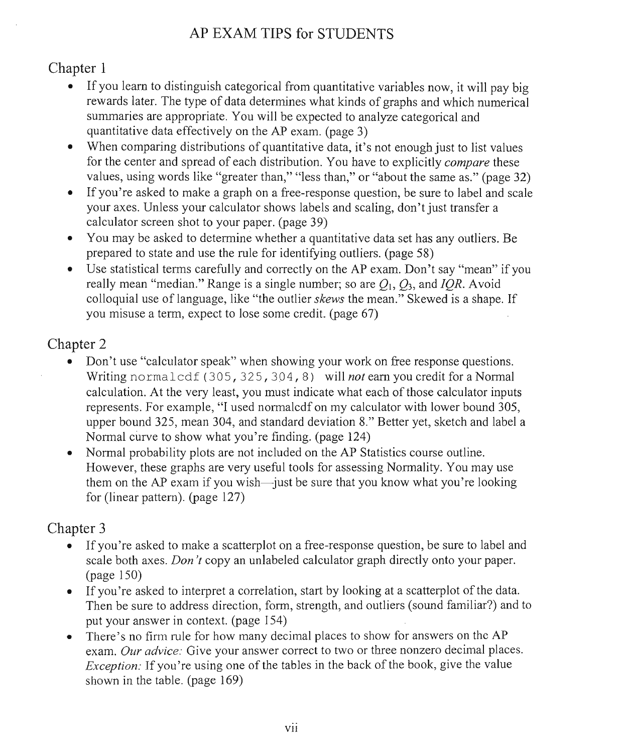#### AP EXAM TIPS for STUDENTS

#### Chapter 1

- If you learn to distinguish categorical from quantitative variables now, it will pay big rewards later. The type of data determines what kinds of graphs and which numerical summaries are appropriate. You will be expected to analyze categorical and quantitative data effectively on the AP exam. (page 3)
- When comparing distributions of quantitative data, it's not enough just to list values for the center and spread of each distribution. You have to explicitly *compare* these values, using words like "greater than," "less than," or "about the same as," (page 32)
- If you're asked to make a graph on a free-response question, be sure to label and scale your axes. Unless your calculator shows labels and scaling, don't just transfer a calculator screen shot to your paper. (page 39)
- You may be asked to determine whether a quantitative data set has any outliers. Be prepared to state and use the rule for identifying outliers. (page 58)
- However, these graphs are very useful tools for assessing Normality. You may use Use statistical terms carefully and correctly on the AP exam. Don't say "mean" if you really mean "median." Range is a single number; so are  $Q_1$ ,  $Q_3$ , and *IOR*. Avoid colloquial use of language, like "the outlier *skews* the mean." Skewed is a shape. If you misuse a term, expect to lose some credit. (page 67)

#### Chapter 2

- e in youth on a sked to make a graph on a free-responsive to label and scale and scale and scale and scale and scale and scale and scale and scale and scale and scale and scale and scale and scale and scale and scale and s erms carefully and the AP exameterms carefully on the AP exameterms correctly on the AP exameterms of the AP exameterms of the AP exameterms of the AP exameterms of the AP exameterms of the AP exameterms of the AP examet values, using words like "greater" words and than, than, the same assume that the same assume as a set of the same as a set of the same as a set of the same as a set of the same as a set of the same as a set of the same as earn to distinguish categorical from the distinguish categorical from  $A$  big and the variable variables  $A$  big with  $\alpha$  or  $\beta$  or  $\beta$  or  $\beta$  or  $\beta$  or  $\beta$  or  $\beta$  or  $\beta$  or  $\beta$  or  $\beta$  or  $\beta$  or  $\beta$  or  $\beta$  or rewards later. The type of data determines what kinds and what kinds and which numerical controller and which numerical controller and which numerical controller and which numerical controller and which numerical controlle er and void and still bound and standard deviation 8. And starter yet, sketch and label and label and label and label and label and label and label and label and label and label and label and label and label and label and otes rei Ragec distributions of the comparing data of productions of the list values of productions of the list values of the list values of the list values of the list values of the list values of the list values of the l calculation. At the very least is expected what indicate what is a control of the very calculator in the very calculator in represents. For example, and interesents. For example, the sense of the sense of the matrix of the sense of the sense of the sense of the sense of the sense of the sense of the sense of the sense of the sense of the sense for the center and spread of each distribution. You have to explicit to explicit to explicit to explicit to explicitly compare to explicitly compare to explicitly compare to explicitly compare to explicitly compare the set re asked to determine whether a controllers a set of the set of the set of the set of the set of the set of the set of the set of the set of the set of the set of the set of the set of the set of the set of the set of the ve lie Para." Grothe the mean." Skews the mean skews the mean." Skews the mean of the mean of shape. If the mean of shape. If the mean of shape. If the mean of shape. If the mean of shape. If the mean of shape. If the mean an sa left domit can be easily if you credit for a Normal control of the credit for a Normal control of a Normal control of a Normal control of a Normal control of a Normal control of a Normal control of a Normal control o essie "calculator" (and speak "calculator" when showing your work on free response to the speak on free response  $\alpha$  on  $\alpha$  and  $\alpha$  and  $\alpha$  and  $\alpha$  and  $\alpha$  and  $\alpha$  and  $\alpha$  and  $\alpha$  and  $\alpha$  and  $\alpha$  and  $\alpha$  and  $\$ really mean "median." Range is a single number; so are *Q\, Qi,* and *IQR.* Avoid our axes. Unless your calculator shows in all and some calculation is and scaling and scaling, don't just the second transfer and scaling, don't calculate the second vertal  $\frac{1}{2}$  and  $\frac{1}{2}$  and  $\frac{1}{2}$  and  $\frac{1}{2$  $\mathbf{y}$  of  $\mathbf{y}$  is  $\mathbf{y}$ , it is  $\mathbf{y}$ ,  $\mathbf{y}$ ,  $\mathbf{y}$ ,  $\mathbf{y}$ ,  $\mathbf{y}$ ,  $\mathbf{y}$ ,  $\mathbf{y}$ ,  $\mathbf{y}$ ,  $\mathbf{y}$ ,  $\mathbf{y}$ ,  $\mathbf{y}$ ,  $\mathbf{y}$ ,  $\mathbf{y}$ ,  $\mathbf{y}$ ,  $\mathbf{y}$ ,  $\mathbf{y}$ ,  $\mathbf{y}$ ,  $\mathbf{y}$ , mariate. The area are all be exacted to analyze categorical be expected to analyze categorical and to all be expected to analyze categorical and structure categorical and structure categorical and structure categorical and prepared to state and use the rule for identifying the rule for identifying planet rule for identifying planet<br>repared in the rule for identifying planet rule for the state of the state of the rule for the state of the st Ap Mondon<br>Ap Propins for Studien<br>Tips for Studien<br>Studients for Studients for Studients<br>Studients for Studients for Studients Don't use "calculator speak" when showing your work on free response questions.  $\bullet$ ear acludations are to lose some credit, and the some controller to the controller to the controller to the controller to the controller to the controller to the controller to the controller to determine the controller to Writing normalcdf (305, 325, 304, 8) will not earn you credit for a Normal map<br>np 3(ab<br>us kir<br>el pe<br>da al<br>AP<br>lac effective<br>the data effectively on the AP examples<br>and the AP examples of the AP examples<br>of the AP examples of the AP examples of the AP examples of the AP examples of the AP examples of the AP examples of the AP examples calculation. At the very least, you must indicate what each of those calculator inputs represents. For example, "I used normal cdf on my calculator with lower bound 305, upper bound 325, mean 304, and standard deviation 8." Better yet, sketch and label a Normal curve to show what you're finding. (page 124)
- dand<br>udt tist<br>on shot to your paper<br>(co Normal probability plots are not included on the AP Statistics course outline. However, these graphs are very useful tools for assessing Normality. You may use them on the AP exam if you wish—just be sure that you know what you're looking for (linear pattern). (page  $127$ )

- If you're asked to make a scatterplot on a free-response question, be sure to label and scale both axes. *Don't* copy an unlabeled calculator graph directly onto your paper.  $\text{(page 150)}$
- If you're asked to interpret a correlation, start by looking at a scatterplot of the data. Then be sure to address direction, form, strength, and outliers (sound familiar?) and to put your answer in context. (page 154)
- The first rate for now many deemar places to show for a *Dur advice*: Give your answer correct to two or three nor<br>*on*: If you're using one of the tables in the back of the bo<br>in the table. (page 169)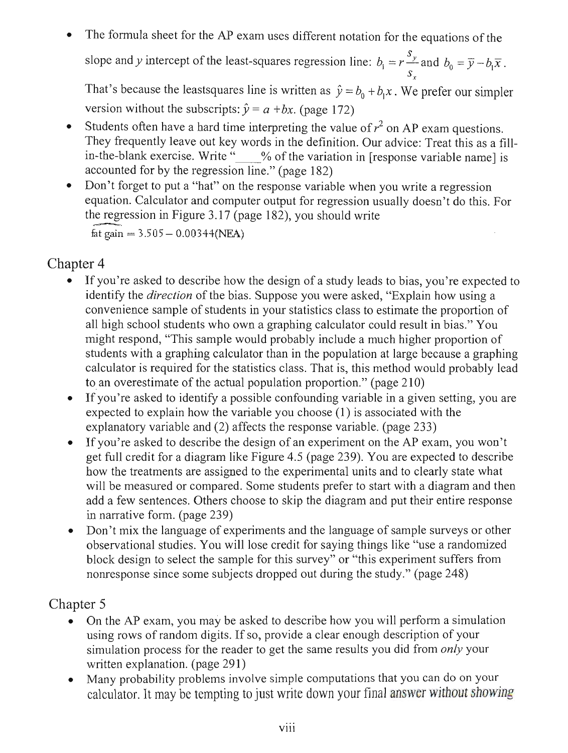The formula sheet for the AP exam uses different notation for the equations of the  $\bullet$ slope and y intercept of the least-squares regression line:  $b_1 = r \frac{s_y}{s}$  and  $b_0 = \overline{y} - b_1 \overline{x}$ .

That's because the least squares line is written as  $\hat{y} = b_0 + b_1 x$ . We prefer our simpler version without the subscripts:  $\hat{y} = a + bx$ . (page 172)

- Students often have a hard time interpreting the value of  $r^2$  on AP exam questions.  $\bullet$ They frequently leave out key words in the definition. Our advice: Treat this as a fillin-the-blank exercise. Write " % of the variation in [response variable name] is accounted for by the regression line." (page 182)
- Don't forget to put a "hat" on the response variable when you write a regression  $\bullet$ equation. Calculator and computer output for regression usually doesn't do this. For the regression in Figure 3.17 (page 182), you should write fat gain =  $3.505 - 0.00344(NEA)$

# Chapter 4

- **position** If you all to design of a study of a study leads to design of a study leads to be a study of a study of a study of a study of a study of a study of a study of a study of a study of a study of a study of a study They frequently leave out definition. Our advice our advice the definition. Our advice: Treat this as a fillstudents with a graphing calculator than in the population at large because a graphing calculation at large because a graphing controller than in the population at large because a graphing controller than in the population calculator is required for the statistical statistics class. The statistics class class. The statistics contribution of  $\mathbb{R}^n$ er asked to identify a possible conformation a possible conformation and set to in a given setting, you are all the contract of the contract of the contract of the contract of the contract of the contract of the contract o That's because the least of provide the least of provide in the least of provide in the least of provide the least of provide the property of provide the property of provide the property of provide the property of provide For a diagram like full credit full can diagram like for a diagram like for a diagram like for a diagram like for a diagram like for a diagram like for a diagram like for a diagram like for a diagram like for a diagram lik equation. Calculation. Calculation. Computer output for regression usually doesn't doesn't doesn't doesn't doesn't doesn't doesn't doesn't doesn't doesn't doesn't doesn't doesn't doesn't doesn't doesn't doesn't doesn't doe conventience sample of students in your statistical convention of the proportion of the proportion of the proportion of the proportion of the proportion of the proportion of the proportion of the proportion of the proporti nd reader in the state of the variable write the variable was also the variable of the variable name is a state of the variable name is a state of the variable name is a state of the variable name is a state of the variabl est to design and to design of an experiment of an experiment of an experiment of an example of an example of an example of an example of an example of an example of an example of an experiment of an experiment of an examp e Students of the value of the value of the value of reduced the value of reduced by a hard of  $r$  on AP examents of  $r$  on AP examents of  $r$  on AP examents of  $r$  on AP examents of  $r$  on AP examents of  $r$  on AP exament the formula sheet for the AP examples of the AP examples of the equation for the equation for the equations of the equations of the equations of the equations of the equations of the equations of the equations of the equat might response to the sample would probably include a much higher probably include a much higher proportion of the control of the control of the control of the control of the control of the control of the control of the co to g<br>d e<br>the experimental units and to clearly state what re and y intercept of the least-squares and both which is a second of the least-square regression line:<br>**r**—and both which which has a mand both both both the least-square of the least-square of the least-square space rite calculator studients who own a graphing calculator could result in bias. The could result in bias." You can get in bias." You identify the bias. Suppose you were distinguist, the bias. Suppose you were asked, the bias of the bias. Suppose you were asked, the bias of the bias of the bias. Suppose you were asked, the bias of the bias of the bias of / Ed a condien on e response to put a regred is a regred is a regred is a regred is a regred is a regred is a regre expected to explane with the variable you choose (1) is associated with the variable you choose (1) is associated with the view of the variable strated with the variable strated with the variable strated with the variable explanation and (2) affects the response variable and response variable, (page 233) If you're asked to describe how the design of a study leads to bias, you're expected to to an overestimate of the actual population."<br>
The actual population proportion." (page 210)<br>  $\alpha$ lentify convenience sample of students in your statistics class to estimate the proportion of all high school students who own a graphing calculator could result in bias." You might respond, "This sample would probably include a much higher proportion of students with a graphing calculator than in the population at large because a graphing calculator is required for the statistics class. That is, this method would probably lead to an overestimate of the actual population proportion." (page 210)
- If you're asked to identify a possible confounding variable in a given setting, you are  $\bullet$ expected to explain how the variable you choose (1) is associated with the explanatory variable and (2) affects the response variable. (page 233)
- the region in Figure 3.18 (page 182), you should use 1820, you should use 1820, you should write version with the subscripts: joint the subscripts: joint the subscripts: joint the subscripts: joint the subscripts: joint of the subscripts:  $\sim$ accounted for  $(2e^x)$  and  $(2e^x)$  are regarded for  $23$  of  $23$  supports  $\cdots$ If you're asked to describe the design of an experiment on the AP exam, you won't get full credit for a diagram like Figure 4.5 (page 239). You are expected to describe de e e<br>e st<br>o st<br>uts<br>cre<br>th how the treatments are assigned to the experimental units and to clearly state what will be measured or compared. Some students prefer to start with a diagram and then add a few sentences. Others choose to skip the diagram and put their entire response in narrative form. (page 239)
- Don't mix the language of experiments and the language of sample surveys or other  $\bullet$ observational studies. You will lose credit for saying things like "use a randomized" block design to select the sample for this survey" or "this experiment suffers from nonresponse since some subjects dropped out during the study." (page 248)

- On the AP exam, you may be asked to describe how you will perform a simulation<br>using rows of random digits. If so, provide a clear enough description of your<br>simulation process for the reader to get the same results you di  $\bullet$ written explanation. (page 291)
- Many probability problems involve simple computations that you can do on your  $\bullet$ calculator. It may be tempting to just write down your final answer without showing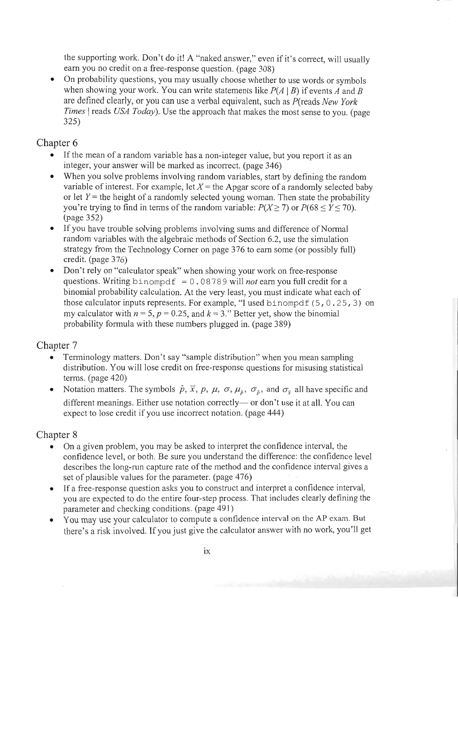the supporting work. Don't do it! A "naked answer," even if it's correct, will usually earn you no credit on a free-response question. (page 308)

• On probability questions, you may usually choose whether to use words or symbols when showing your work. You can write statements like  $P(A | B)$  if events A and B are defined clearly, or you can use a verbal equivalent, such as P(reads New York *Times* | reads *USA Today*). Use the approach that makes the most sense to you. (page 325)

# Chapter 6

- If the mean of a random variable has a non-integer value, but you report it as an integer, your answer will be marked as incorrect. (page 346)
- When you solve problems involving random variables, start by defining the random variable of interest. For example, let  $X =$  the Apgar score of a randomly selected baby or let  $Y$  = the height of a randomly selected young woman. Then state the probability you're trying to find in terms of the random variable:  $P(X \ge 7)$  or  $P(68 \le Y \le 70)$ .  $\frac{1}{2}$  (page 352)
- If you have trouble solving problems involving sums and difference of Normal random variables with the algebraic methods of Section 6.2, use the simulation strategy from the Technology Corner on page 376 to earn some (or possibly full) credit. (page  $376$ )
- Don't rely on "calculator speak" when showing your work on free-response questions. Writing binompdf =  $0.08789$  will *not* earn you full credit for a binomial probability calculation. At the very least, you must indicate what each of those calculator inputs represents. For example, "I used binompdf  $(5, 0.25, 3)$  on my calculator with  $n = 5$ ,  $p = 0.25$ , and  $k = 3$ ." Better yet, show the binomial probability formula with these numbers plugged in. (page 389)

# Chapter 7

- Terminology matters. Don't say "sample distribution" when you mean sampling distribution. You will lose credit on free-response questions for misusing statistical terms. (page  $420$ )
- Notation matters. The symbols  $\hat{p}$ ,  $\overline{x}$ ,  $p$ ,  $\mu$ ,  $\sigma$ ,  $\mu_{\hat{p}}$ ,  $\sigma_{\hat{p}}$ , and  $\sigma_{\overline{x}}$  all have specific and different meanings. Either use notation correctly— or don't use it at all. You can expect to lose credit if you use incorrect notation. (page 444)

- these calculator in<br>the calculator in the calculator in possible, the calculator in the sense<br>in the calculator in the calculator in the calculator in the calculator in the calculator in the calculation of the calculation variable of interest. For example, let<br>a randomly selected baby<br>interest. For a randomly selected baby<br>interest. For a randomly selected basic of a randomly selected basic of a<br>contracted basic of a randomly selected basic the supporting work. Don't do it is even if it is a "national" even if it is a "naked and will usually usually<br>The supporting will usually usually usually usually usually usually usually usually usually usually usually us<br> f, interface<br>the head of a randomly selected young the state the probability of a randomly selected young woman. The state the probability of a randomly selected young the state of a randomly selected young the state of a etime editions, a subsettion and the symbols of the use where the use where the use where the use words or symbols or symbols or symbols or symbols or symbols or symbols or symbols or symbols or symbols or symbols or symbo erence problems in the problems in the variable problems in the random variable problems in the random variable problems in the random variable start by defining the random variable start by defining the random variable st distribution. You will also contained a contact on free response to the extension of  $\mathfrak{g}$  or  $\mathfrak{g}$  and  $\mathfrak{g}$  or  $\mathfrak{g}$  and  $\mathfrak{g}$  and  $\mathfrak{g}$  and  $\mathfrak{g}$  and  $\mathfrak{g}$  and  $\mathfrak{g}$  and  $\mathfrak{g}$  and bind probability calculation. At the very least, you must indicate what is a continuous continuous calculation. At the very least, you must indicate what each of the very least,  $\alpha$  of the very least,  $\alpha$  of the very lea me do<br>clearly, or you can use a verbal equivalent, such a<br>reads New York<br>reads New York you're trying to find in terms of the random variable: *P(X>* 7) or P(68 < *Y<* 70). - o<br>(pa<br>t the the Technology Corner on page 376 to 276 to 276 to 276 to 276 to 276 to 276 to 276 to 276 to 276 to 276 to 276 to 276 to 276 to 276 to 276 to 276 to 276 to 276 to 276 to 276 to 2776 to 2776 to 2776 to 2776 to when showing you can write state<br>on the showing state<br>and B and B and B and B and B and B and B and B and B and B and B and B and B and B and B and B and B and B and Times and the approach that makes the approach that makes the approximation of the most sense to you. (*page sense* to *y*out). erminology matters. Don't say that the same of the same of the same of the same of the same of the same of the same of the same of the same of the same of the same of the same of the same of the same of the same of the sam er ou<br>1 n. l<br>1 npt on<br>he co<br>lat f y e is different trouble solving the state of Normal Sums and the State sums are sums and difference of Normal C random variables with the algebraic methods of Section 6.2, use the algebraic methods of Section 6.<br>District methods of Section 6.<br>District methods of Section 6.2, use the simulation 6.2, use the simulation 6.2, use the si questions. Writing the property of a property of a property of a property of a property of a property of a property of a property of a property of a property of a property of a property of a property of a property of a pro mu calculator with provide the show that the show that *i* do a *p* = *1*. on ffe<br>e calculator speak<br>terms On a given problem, you may be asked to interpret the confidence interval, the confidence level, or both. Be sure you understand the difference: the confidence level describes the long-run capture rate of the method and the confidence interval gives a set of plausible values for the parameter. (page 476)
- probability for the set of the set of the set of the set of the set of the set of the set of the set of the set of the set of the set of the set of the set of the set of the set of the set of the set of the set of the set he<br>as incorrect<br>and or earn you<br>If a<br>you<br>You<br>the • If a free-response question asks you to construct and interpret a confidence interval, you are expected to do the entire four-step process. That includes clearly defining the parameter and checking conditions. (page 491)
- You may use your calculator to compute a confidence interval on the AP exam. But there's a risk involved. If you just give the calculator answer with no work, you'll get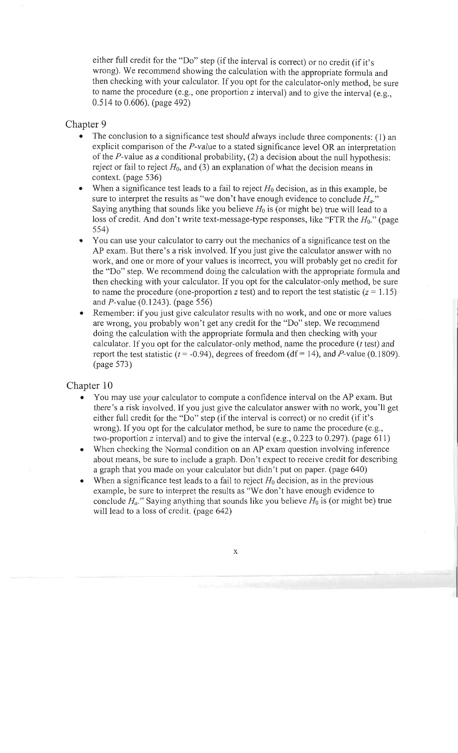either full credit for the "Do" step (if the interval is correct) or no credit (if it's wrong). We recommend showing the calculation with the appropriate formula and then checking with your calculator. If you opt for the calculator-only method, be sure to name the procedure (e.g., one proportion z interval) and to give the interval (e.g.,  $0.514$  to  $0.606$ ). (page 492)

#### Chapter 9

- The conclusion to a significance test should always include three components: (1) an  $\bullet$ explicit comparison of the  $P$ -value to a stated significance level OR an interpretation of the P-value as a conditional probability, (2) a decision about the null hypothesis: reject or fail to reject  $H_0$ , and (3) an explanation of what the decision means in context. (page 536)
- When a significance test leads to a fail to reject  $H_0$  decision, as in this example, be  $\bullet$ sure to interpret the results as "we don't have enough evidence to conclude  $H_a$ ." Saying anything that sounds like you believe  $H_0$  is (or might be) true will lead to a loss of credit. And don't write text-message-type responses, like "FTR the  $H_0$ ." (page  $5.54$
- You can use your calculator to carry out the mechanics of a significance test on the AP exam. But there's a risk involved. If you just give the calculator answer with no work, and one or more of your values is incorrect, you will probably get no credit for the "Do" step. We recommend doing the calculation with the appropriate formula and then checking with your calculator. If you opt for the calculator-only method, be sure to name the procedure (one-proportion z test) and to report the test statistic  $(z = 1.15)$ and *P*-value  $(0.1243)$ . (page 556)
- Remember: if you just give calculator results with no work, and one or more values  $\bullet$ are wrong, you probably won't get any credit for the "Do" step. We recommend doing the calculation with the appropriate formula and then checking with your calculator. If you opt for the calculator-only method, name the procedure  $(t \text{ test})$  and report the test statistic ( $t = -0.94$ ), degrees of freedom (df = 14), and P-value (0.1809).  $(\text{page } 573)$

# $Ch$ either full case  $\mathcal{O}(\mathcal{C})$  step (if the interval is correct) or no credit (if  $i$ Chapter 10

- the "Do" step. We recommend do<br>"Do" step. We recommend the calculation with the appropriate formula and the appropriate formula and the appropriate formula and the appropriate formula and the appropriate formula and the ap an<br>Perk (if ur (p = 1<br>94), degrees of freedom (14), and P-value (14), and P-value (14), and P-value (14), and P-value (14), and Ploss of credit of credit<br>
and don't write the first<br>
and the first<br>
for the form of the form of the form of the form of the form of the form of the form of the form of the form of the form of the form of the form of the fo  $\begin{array}{c} \text{ap} \ \bullet \end{array}$ then conditions with your calculater. If you opt for the calculator on the calculator on  $\mathbb{R}^n$  or the sure e se sk regonicance test should always include the component should always include the components: (1) and an analyze component of the component of the components of the component of the components: (1) and an analyze comp work, and or more or will probably get  $P$  is incorrect, you will probably get  $p$  is incorrect, we can also contribute for  $p$  or  $p$ to infinity one-proportion *ns*<br>  $\begin{array}{c} \n\text{or} \\ \n\text{or} \\ \n\text{or} \\ \n\text{or} \\ \n\text{or} \\ \n\text{or} \\ \n\text{or} \\ \n\text{or} \\ \n\text{or} \\ \n\text{or} \\ \n\text{or} \\ \n\text{or} \\ \n\text{or} \\ \n\text{or} \\ \n\text{or} \\ \n\text{or} \\ \n\text{or} \\ \n\text{or} \\ \n\text{or} \\ \n\text{or} \\ \n\text{or} \\ \n\text{or} \\ \n\text{$ explicit comparison of the P-value to a state of the P-value of the P-value of the P-value of the P-value of the P-value of the P-value of the P-value of the P-value of the P-value of the P-value of the P-value of the P-va A wou dit you opt for the calculator (test) and the calculator-only method, name the procedure *(test)* and method, name the procedure et<br>g co ca<br>tend, ntend. Ponduit involved. If you with a risk involved. If you with a risk involved in the calculator and risk in the calculator and risk in the calculator and risk in the calculator and risk in the calculator an er: if you work and with a remember or more values with a result give calculation and  $H_0$ to the procedure the proportion and to give the intervals) and to give the intervals (e.g.,  $\alpha$ of the P-value as a conditional probability in the sum about the sum of the number of the number of  $\alpha$  or about the number of  $\alpha$  or about the number of  $\alpha$  or about the number of  $\alpha$  or about the number of  $\alpha$  or ab e a he intince in a D<br>e intince in a D<br>r l o r as<br>nds e when a significance test leads to a fail to a fail to a fail to a fail to reject the significance of the controller to the controller to the controller to a fail of the controller to a family of the controller to a famil Saying anything anything anything that sound is a left believer that sound is a lead to a lead to be property on the general to a lead to a left believer that sound is (or might be) and to a left believe that be a left bel on ith no le ]<br>le po 0 in recommends recommends for the "Do" step:<br>is is rto ij<br>"sure to idea<br>"we do neugh enough evidence"<br>"we do neugh enough existing the nc<br>creation 229<br>coing the and then checks<br>and then corrected with your red th or fail to reference the decision of what the decision of what the decision of what the decision of contribution of contribution of contribution of contribution of contribution of contribution of contribution of con You may use your calculator to compute a confidence interval on the AP exam. But  $\bullet$ there's a risk involved. If you just give the calculator answer with no work, you'll get either full credit for the "Do" step (if the interval is correct) or no credit (if it's wrong). If you opt for the calculator method, be sure to name the procedure (e.g., two-proportion z interval) and to give the interval (e.g.,  $0.223$  to  $0.297$ ). (page 611)
- When checking the Normal condition on an AP exam question involving inference  $\bullet$ about means, be sure to include a graph. Don't expect to receive credit for describing a graph that you made on your calculator but didn't put on paper. (page 640)
- When a significance test leads to a fail to reject  $H_0$  decision, as in the previous  $\bullet$ example, be sure to interpret the results as "We don't have enough evidence to conclude  $H_a$ ." Saying anything that sounds like you believe  $H_0$  is (or might be) true will lead to a loss of credit. (page 642)